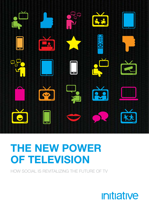

# **THE NEW POWER OF TELEVISION**

HOW SOCIAL IS REVITALIZING THE FUTURE OF TV

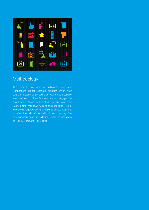

### Methodology

This project was part of Initiative's Consumer Connections global research program which now spans in excess of 50 countries. Our study's sample was designed to identify those actively engaged in social media. As part of this study we conducted over 8,000 online interviews with consumers aged 16-54. Interlocking age/gender and regional quotas were set to reflect the national population in each country. The only significant exception is China, where the focus was on Tier 1, Tier 2 and Tier 3 cities.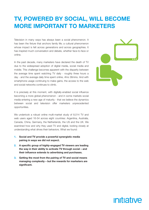### **TV, POWERED BY SOCIAL, WILL BECOME MORE IMPORTANT TO MARKETERS**

Television in many ways has always been a social phenomenon. It has been the fixture that anchors family life; a cultural phenomenon whose impact is felt across generations and across geographies. It has inspired much conversation and debate, whether face-to-face or online.

In the past decade, many marketers have declared the death of TV due to the widespread adoption of digital media, social media and mobile. This challenge becomes apparent with the disparity between the average time spent watching TV daily - roughly three hours a day - and the average daily time spent online, 4hrs 36mins. And with smartphone usage continuing to make gains, the access to the web and social networks continues to climb.

It is precisely at this moment, with digitally-enabled social influence becoming a more global phenomenon - and in some markets social media entering a new age of maturity - that we believe the dynamics between social and television offer marketers unprecedented opportunities.

We undertook a robust online multi-market study of 8,014 TV and web users aged 16-54 across eight countries: Argentina, Australia, Canada, China, Germany, the Netherlands, the US and the UK. We examined how and why they used TV and digital, looking closely at understanding what drives their behaviors. What we found:

- **1. Social and TV provide a powerful synergistic media pairing in ways we did not expect.**
- **2.** A specific group of highly-engaged TV viewers are leading **the way in their ability to activate TV through social – and their infl uence extends to advertising and purchases.**
- **3. Getting the most from the pairing of TV and social means managing complexity – but the rewards for marketers are**  significant.

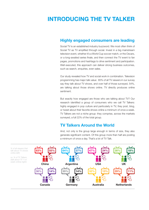## **INTRODUCING THE TV TALKER**

### **Highly engaged consumers are leading**

Social TV is an established industry buzzword. We most often think of Social TV as TV amplified through social. Invest in a big mainstream television event, whether it's a World Cup soccer match, or the Oscars, or a long-awaited series finale, and then connect the TV event to fan pages, promotions and hashtags to drive sentiment and participation. Well executed, this approach can deliver strong business outcomes, such as search, enquiries, even sales.

Our study revealed how TV and social work in combination. Television programming has major talk value: 85% of all TV viewers in our survey say they talk about TV shows, and over half of those surveyed, 54%, are talking about those shows online. TV directly produces online sentiment.

But exactly how engaged are those who are talking about TV? Our research identified a group of consumers who we call TV Talkers: highly engaged in pop culture and particularly in TV, they post, blog, or tweet about their favorite shows online a minimum of once a week. TV Talkers are not a niche group: they comprise, across the markets surveyed, a full 22% of the total group.

### **TV Talkers Around the World**

And, not only is the group large enough in terms of size, they also generate significant content. Of this group more than half are posting a minimum of once a day. That's a lot of TV Talk.



*% of all viewers that talk about TV shows online (left)*

*vs. % of TV Talkers (talk about TV 1+x/ week online) (right)*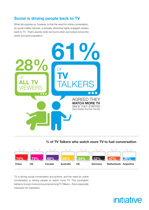### **Social is driving people back to TV**

What did surprise us, however, is that the need for online conversation, as social media matures, is actually attracting highly engaged viewers back to TV. That's exactly what we found when we looked across the entire surveyed population.



#### **% of TV Talkers who watch more TV to fuel conversation**



TV is driving social conversation and actions, and the need for online conversation is driving people to watch more TV. This synergistic behavior is even more pronounced among TV Talkers – this is especially important for marketers.

# **Initiative**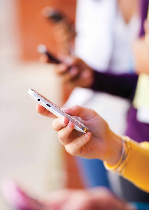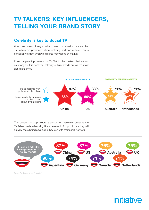## **TV TALKERS: KEY INFLUENCERS, TELLING YOUR BRAND STORY**

### **Celebrity is key to Social TV**

When we looked closely at what drives this behavior, it's clear that TV Talkers are passionate about celebrity and pop culture. This is particularly evident when we dig into motivations by market.

If we compare top markets for TV Talk to the markets that are not as strong for this behavior, celebrity culture stands out as the most significant driver.



This passion for pop culture is pivotal for marketers because the TV Talker treats advertising like an element of pop culture – they will actively share brand advertising they love with their social network.



*Base: TV Talkers in each market*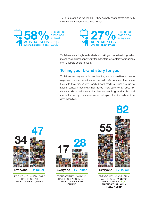TV Talkers are also Ad Talkers – they actively share advertising with their friends and turn it into web content.



**27% of TV TALKERS who talk about TV ads** post about brand ads every day

TV Talkers are willingly, enthusiastically talking about advertising. What makes this a critical opportunity for marketers is how this works across the TV Talkers social network.

### **Telling your brand story for you**

TV Talkers are very sociable people – they are far more likely to be the organizer of social occasions, and would prefer to spend their spare time with their friends over family. Social media supplies the fuel to keep in constant touch with their friends - 82% say they talk about TV shows to show their friends that they are watching. And, with social media, their ability to share conversation beyond their immediate circle gets magnified.



FRIENDS WITH WHOM I ONLY HAVE REGULAR **FACE-TO-FACE** CONTACT



FRIENDS WITH WHOM I ONLY HAVE REGULAR CONTACT **FACE-TO-FACE AND ONLINE**



FRIENDS WITH WHOM I ONLY HAVE REGULAR **FACE-TO-FACE** CONTACT **PLUS FRIENDS THAT I ONLY KNOW ONLINE**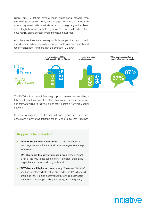Simply put, TV Talkers have a much larger social network than the viewing population. They have a large "inner circle" group with whom they meet both face-to-face, and post regularly online. Most interestingly, however, is that they have 35 people with whom they have regular online contact whom they have never met.

And, because they are extremely sociable people, they also consult and dispense advice regularly about product purchases and brand recommendations, far more than the average TV viewer.



The TV Talker is a critical influence group for marketers  $-$  they willingly talk about ads, they expect to play a key role in purchase decisions, and they are willing to tell your brand story across a very large social network.

In order to engage with this key influence group, we must fully understand how the two touchpoints of TV and Social work together.

#### **Key points for marketers**

- **TV and Social drive each other:** The two touchpoints work together – marketers must have strategies to manage synergies.
- **TV Talkers are the key influencer group** whose impact is felt all the way to the cash register – consider them as a target that can work hard for your brand.
- **TV Talkers will tell your brand story:** The era of "talkable" ads has transformed into "shareable" ads – as TV Talkers will share ads they like and post frequently to their larger social network – more people, telling your story, more frequently.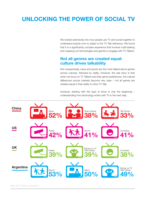### **UNLOCKING THE POWER OF SOCIAL TV**

We looked extensively into how people use TV and social together to understand exactly how to adapt to the TV Talk behaviour. We found that it is a significantly complex experience that involves multi-tasking and mapping out technologies and genres to engage with TV Talkers.

### **Not all genres are created equal: culture drives talkability**

Not unexpectedly, news and sports are the most talked-about genres across cultures, followed by reality. However, the real story is that when we focus on TV Talkers and their genre preferences, the cultural differences across markets become very clear – not all genres are created equal in their ability to drive TV Talk.

However, starting with the type of show is only the beginning – understanding how technology works with TV is the next step.

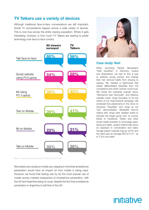### **TV Talkers use a variety of devices**

Although traditional face-to-face conversations are still important, Social TV conversations happen across a wide variety of devices. This is now true across the entire viewing population. Where it gets interesting, however, is how much TV Talkers are starting to prefer technology over face-to-face contact.



*Base: TV viewers who talk about TV shows and TV ads*

We looked very closely at mobile use, keeping in mind that smartphone penetration would have an impact on how mobile is being used. However, we found that texting was by far the most popular use of mobile across markets irrespective of smartphone penetration, with the UK and Argentina being on a par, despite the fact that smartphone penetration in Argentina is half that of the UK.



#### **Case study: Veet**

When launching Reckitt Benckiser's "Veet EasyWax" in Germany, Austria and Switzerland, we had to find a way to address young women and change their hair removal habits from shaving to waxing. We needed a testimonial that clearly differentiated EasyWax from the competitors and which women could trust. We chose the massively popular show, "Germany's next Topmodel", and hilarious catwalk coach Jorge Gonzalez to be the centre of our multi-channel campaign. We scheduled live placements in the show to introduce "EasyWax" and Jorge as our "live" demonstration. Shareable How-to videos with Jorge were seeded online to educate the target group and, of course, linked to Facebook, Twitter and other social media activities to encourage passalong and sales. Jorge's testimonials drove an explosion in conversation and sales. Google search inquiries rose by 457% and the client saw an average ROI of 4.73 - up to 7.9 in one week.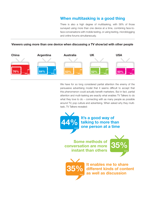### **When multitasking is a good thing**

There is also a high degree of multitasking, with 58% of those surveyed using more than one device at a time, combining face-toface conversations with mobile texting, or using texting, microblogging and online forums simultaneously.

#### **Viewers using more than one device when discussing a TV show/ad with other people**



We have for so long considered partial attention the enemy of the persuasive advertising model that it seems difficult to accept that this phenomenon could actually benefit marketers. But in fact, partial attention and multi-tasking are exactly what enables TV Talkers to do what they love to do – connecting with as many people as possible around TV, pop culture and advertising. When asked why they multitask, TV Talkers revealed:



**It's a good way of talking to more than one person at a time**

**Some methods of conversation are more instant than others**





**It enables me to share different kinds of content as well as discussion**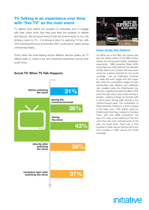### **TV Talking is an experience over time, with "live TV" as the main event**

TV Talkers post before the program to anticipate and to engage with their social circle, and they post after the program to debate and discuss. But the good news is that this phenomenon is not only driving a return to TV – it is driving a return to watching TV live, with 43% watching the show and another 36% continuing to watch during commercial breaks.

That's when the multi-tasking across different devices peaks, as TV Talkers seek to create a live and interactive experience across their social circle.



#### **Social TV: When TV Talk Happens**



#### **Case study: Kia Optima**

As official car of the NBA, Kia Optima was also the official vehicle of the NBA All Star Game, and we secured a highly "tweetable" opportunity - NBA superstar Blake Griffin would leap over a Kia Optima in the televised All-Star Slam Dunk Contest. We knew there would be massive potential for live social coverage – but we challenged ourselves to make the event bigger and last longer. We made the conversation bigger through partnerships with athletes and celebrities who tweeted using the #OptimaJam tag. We then magnified the real time effect of the event through search and social working in tandem, creating overlays on YouTube with a call-to-action driving traffic directly to the Optima Explore page. The combination of these elements resulted in a 24% increase in Kia sales, over 1,000 tweets using the #OptimaJam hash tag, making it a Trending Topic, with over 5MM impressions. Kia saw 12% more social media buzz from this event than the most watched event of the year, the Super Bowl. There was a 79% increase in traffic around Optima terms and 25% increase in traffic around the whole campaign.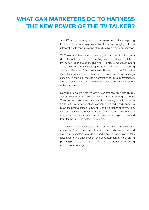### **WHAT CAN MARKETERS DO TO HARNESS THE NEW POWER OF THE TV TALKER?**

Social TV is a powerful synergistic combination for marketers – putting it to work for a brand requires a clear focus on managing both the relationship with consumers and internally within a brand's organization.

TV Talkers are clearly a key influence group and treating them as a distinct target is the first step in crafting experiences targeted at them, led by two clear strategies. The first is to create synergistic Social TV experiences over time, taking full advantage of the before, during and after life-cycle of live broadcasts. The second is to fully realize the potential of multi-screen brand communications. Every campaign should have easy, fast, shareable elements to accelerate conversation, then elements that allow TV Talkers to access a deeper engagement with your brand.

Managing Social TV initiatives within your organization is also crucial. Social governance is critical in listening and responding to the TV Talkers once conversation starts. It is also extremely helpful to invest in tracking the relationship between social actions and brand equity – to prove the positive impact of Social TV to fund further initiatives. And, as brand metrics prove out, your brand can become a leader in this space, and become a 'first-mover' in newer technologies, to test and learn for the future advantage of your brand.

TV, powered by social, has become more important to marketers – a trend we fully expect to continue as social media matures around the world. Marketers who identify and align their strategies to take advantage of this phenomenon, and specifically target the emerging power group - the TV Talker - will give their brands a compelling competitive advantage.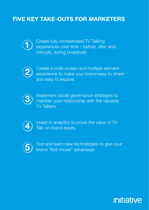### **FIVE KEY TAKE-OUTS FOR MARKETERS**



Create fully-orchestrated TV Talking experiences over time – before, after and, critically, during broadcast.



Create a multi-screen and multiple element experience to make your brand easy to share and easy to explore.



Implement social governance strategies to maintain your relationship with the valuable TV Talkers.



Invest in analytics to prove the value of TV Talk on brand equity.



Test and learn new technologies to give your brand "first-mover" advantage.

# **Initiative**